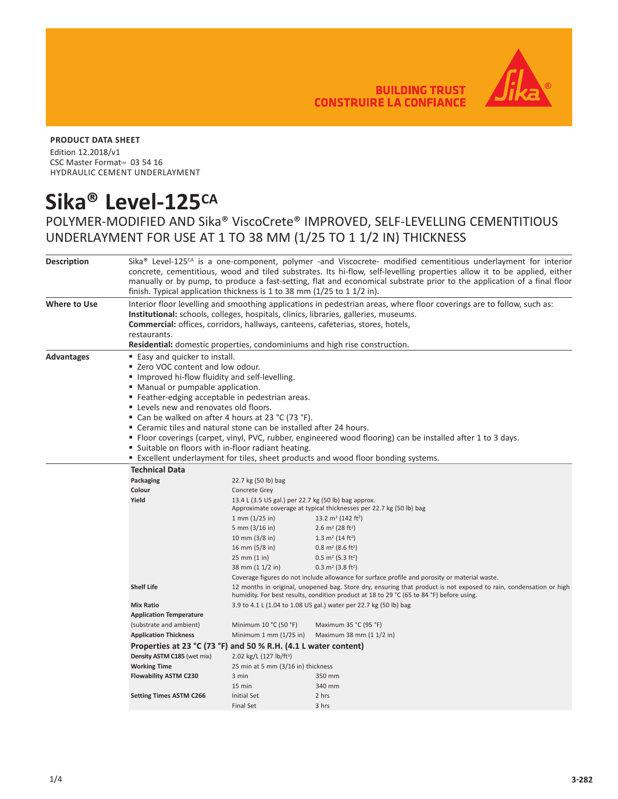**BUILDING TRUST CONSTRUIRE LA CONFIANCE** 



#### **PRODUCT DATA SHEET**

Edition 12.2018/v1 CSC Master Format<sup>™</sup> 03 54 16 HYDRAULIC CEMENT UNDERLAYMENT

# **Sika® Level-125CA**

## POLYMER-MODIFIED AND Sika® ViscoCrete® IMPROVED, SELF-LEVELLING CEMENTITIOUS UNDERLAYMENT FOR USE AT 1 TO 38 MM (1/25 TO 1 1/2 IN) THICKNESS

| <b>Description</b>  | Sika <sup>®</sup> Level-125 <sup>cA</sup> is a one-component, polymer -and Viscocrete- modified cementitious underlayment for interior<br>concrete, cementitious, wood and tiled substrates. Its hi-flow, self-levelling properties allow it to be applied, either<br>manually or by pump, to produce a fast-setting, flat and economical substrate prior to the application of a final floor<br>finish. Typical application thickness is 1 to 38 mm (1/25 to 1 1/2 in). |                                                                                                                                                                                                                |                                                                                                              |  |  |
|---------------------|--------------------------------------------------------------------------------------------------------------------------------------------------------------------------------------------------------------------------------------------------------------------------------------------------------------------------------------------------------------------------------------------------------------------------------------------------------------------------|----------------------------------------------------------------------------------------------------------------------------------------------------------------------------------------------------------------|--------------------------------------------------------------------------------------------------------------|--|--|
| <b>Where to Use</b> | Interior floor levelling and smoothing applications in pedestrian areas, where floor coverings are to follow, such as:<br>Institutional: schools, colleges, hospitals, clinics, libraries, galleries, museums.<br><b>Commercial:</b> offices, corridors, hallways, canteens, cafeterias, stores, hotels,<br>restaurants.<br>Residential: domestic properties, condominiums and high rise construction.                                                                   |                                                                                                                                                                                                                |                                                                                                              |  |  |
| <b>Advantages</b>   | ■ Easy and quicker to install.<br>■ Zero VOC content and low odour.<br><b>I</b> Improved hi-flow fluidity and self-levelling.<br>• Manual or pumpable application.<br>" Feather-edging acceptable in pedestrian areas.<br>" Levels new and renovates old floors.<br>■ Can be walked on after 4 hours at 23 °C (73 °F).<br>" Ceramic tiles and natural stone can be installed after 24 hours.<br>■ Suitable on floors with in-floor radiant heating.                      |                                                                                                                                                                                                                | • Floor coverings (carpet, vinyl, PVC, rubber, engineered wood flooring) can be installed after 1 to 3 days. |  |  |
|                     | <b>Excellent underlayment for tiles, sheet products and wood floor bonding systems.</b>                                                                                                                                                                                                                                                                                                                                                                                  |                                                                                                                                                                                                                |                                                                                                              |  |  |
|                     | <b>Technical Data</b>                                                                                                                                                                                                                                                                                                                                                                                                                                                    |                                                                                                                                                                                                                |                                                                                                              |  |  |
|                     | Packaging                                                                                                                                                                                                                                                                                                                                                                                                                                                                | 22.7 kg (50 lb) bag                                                                                                                                                                                            |                                                                                                              |  |  |
|                     | Colour                                                                                                                                                                                                                                                                                                                                                                                                                                                                   | Concrete Grey                                                                                                                                                                                                  |                                                                                                              |  |  |
|                     | Yield<br>13.4 L (3.5 US gal.) per 22.7 kg (50 lb) bag approx.<br>Approximate coverage at typical thicknesses per 22.7 kg (50 lb) bag                                                                                                                                                                                                                                                                                                                                     |                                                                                                                                                                                                                |                                                                                                              |  |  |
|                     |                                                                                                                                                                                                                                                                                                                                                                                                                                                                          |                                                                                                                                                                                                                |                                                                                                              |  |  |
|                     |                                                                                                                                                                                                                                                                                                                                                                                                                                                                          | $1 \text{ mm } (1/25 \text{ in})$                                                                                                                                                                              | 13.2 m <sup>2</sup> (142 ft <sup>2</sup> )                                                                   |  |  |
|                     |                                                                                                                                                                                                                                                                                                                                                                                                                                                                          | 5 mm $(3/16$ in)                                                                                                                                                                                               | 2.6 m <sup>2</sup> (28 ft <sup>2</sup> )                                                                     |  |  |
|                     |                                                                                                                                                                                                                                                                                                                                                                                                                                                                          | 10 mm (3/8 in)                                                                                                                                                                                                 | 1.3 m <sup>2</sup> (14 ft <sup>2</sup> )                                                                     |  |  |
|                     |                                                                                                                                                                                                                                                                                                                                                                                                                                                                          | 16 mm (5/8 in)                                                                                                                                                                                                 | $0.8 \text{ m}^2$ (8.6 ft <sup>2</sup> )                                                                     |  |  |
|                     |                                                                                                                                                                                                                                                                                                                                                                                                                                                                          | 25 mm (1 in)                                                                                                                                                                                                   | $0.5 \text{ m}^2$ (5.3 ft <sup>2</sup> )                                                                     |  |  |
|                     |                                                                                                                                                                                                                                                                                                                                                                                                                                                                          | 38 mm (1 1/2 in)                                                                                                                                                                                               | 0.3 m <sup>2</sup> (3.8 ft <sup>2</sup> )                                                                    |  |  |
|                     | Coverage figures do not include allowance for surface profile and porosity or material waste.<br><b>Shelf Life</b>                                                                                                                                                                                                                                                                                                                                                       |                                                                                                                                                                                                                |                                                                                                              |  |  |
|                     |                                                                                                                                                                                                                                                                                                                                                                                                                                                                          | 12 months in original, unopened bag. Store dry, ensuring that product is not exposed to rain, condensation or high<br>humidity. For best results, condition product at 18 to 29 °C (65 to 84 °F) before using. |                                                                                                              |  |  |
|                     | <b>Mix Ratio</b>                                                                                                                                                                                                                                                                                                                                                                                                                                                         |                                                                                                                                                                                                                | 3.9 to 4.1 L (1.04 to 1.08 US gal.) water per 22.7 kg (50 lb) bag                                            |  |  |
|                     | <b>Application Temperature</b>                                                                                                                                                                                                                                                                                                                                                                                                                                           |                                                                                                                                                                                                                |                                                                                                              |  |  |
|                     | (substrate and ambient)                                                                                                                                                                                                                                                                                                                                                                                                                                                  | Minimum 10 °C (50 °F)                                                                                                                                                                                          | Maximum 35 °C (95 °F)                                                                                        |  |  |
|                     | <b>Application Thickness</b>                                                                                                                                                                                                                                                                                                                                                                                                                                             | Minimum $1$ mm $(1/25$ in)                                                                                                                                                                                     | Maximum 38 mm (1 1/2 in)                                                                                     |  |  |
|                     | Properties at 23 °C (73 °F) and 50 % R.H. (4.1 L water content)                                                                                                                                                                                                                                                                                                                                                                                                          |                                                                                                                                                                                                                |                                                                                                              |  |  |
|                     | Density ASTM C185 (wet mix)                                                                                                                                                                                                                                                                                                                                                                                                                                              | 2.02 kg/L (127 lb/ft <sup>3</sup> )                                                                                                                                                                            |                                                                                                              |  |  |
|                     | <b>Working Time</b><br>25 min at 5 mm (3/16 in) thickness                                                                                                                                                                                                                                                                                                                                                                                                                |                                                                                                                                                                                                                |                                                                                                              |  |  |
|                     | <b>Flowability ASTM C230</b>                                                                                                                                                                                                                                                                                                                                                                                                                                             | 3 min                                                                                                                                                                                                          | 350 mm                                                                                                       |  |  |
|                     |                                                                                                                                                                                                                                                                                                                                                                                                                                                                          | 15 min                                                                                                                                                                                                         | 340 mm                                                                                                       |  |  |
|                     | <b>Setting Times ASTM C266</b>                                                                                                                                                                                                                                                                                                                                                                                                                                           | <b>Initial Set</b>                                                                                                                                                                                             | 2 hrs                                                                                                        |  |  |
|                     |                                                                                                                                                                                                                                                                                                                                                                                                                                                                          | <b>Final Set</b>                                                                                                                                                                                               | 3 hrs                                                                                                        |  |  |
|                     |                                                                                                                                                                                                                                                                                                                                                                                                                                                                          |                                                                                                                                                                                                                |                                                                                                              |  |  |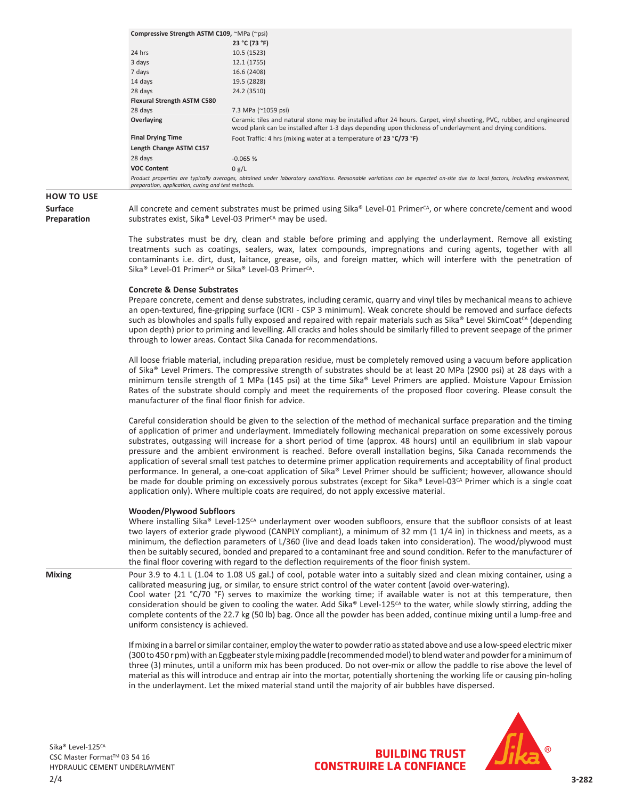| Compressive Strength ASTM C109, ~MPa (~psi)        |                                                                                                                                                                                                                                    |
|----------------------------------------------------|------------------------------------------------------------------------------------------------------------------------------------------------------------------------------------------------------------------------------------|
|                                                    | 23 °C (73 °F)                                                                                                                                                                                                                      |
| 24 hrs                                             | 10.5 (1523)                                                                                                                                                                                                                        |
| 3 days                                             | 12.1 (1755)                                                                                                                                                                                                                        |
| 7 days                                             | 16.6 (2408)                                                                                                                                                                                                                        |
| 14 days                                            | 19.5 (2828)                                                                                                                                                                                                                        |
| 28 days                                            | 24.2 (3510)                                                                                                                                                                                                                        |
| <b>Flexural Strength ASTM C580</b>                 |                                                                                                                                                                                                                                    |
| 28 days                                            | 7.3 MPa (~1059 psi)                                                                                                                                                                                                                |
| Overlaying                                         | Ceramic tiles and natural stone may be installed after 24 hours. Carpet, vinyl sheeting, PVC, rubber, and engineered<br>wood plank can be installed after 1-3 days depending upon thickness of underlayment and drying conditions. |
| <b>Final Drying Time</b>                           | Foot Traffic: 4 hrs (mixing water at a temperature of 23 °C/73 °F)                                                                                                                                                                 |
| Length Change ASTM C157                            |                                                                                                                                                                                                                                    |
| 28 days                                            | $-0.065%$                                                                                                                                                                                                                          |
| <b>VOC Content</b>                                 | 0 g/L                                                                                                                                                                                                                              |
| preparation, application, curing and test methods. | Product properties are typically averages, obtained under laboratory conditions. Reasonable variations can be expected on-site due to local factors, including environment,                                                        |

### **HOW TO USE**

**Surface Preparation** All concrete and cement substrates must be primed using Sika® Level-01 Primer<sup>CA</sup>, or where concrete/cement and wood substrates exist, Sika® Level-03 Primer<sup>CA</sup> may be used.

The substrates must be dry, clean and stable before priming and applying the underlayment. Remove all existing treatments such as coatings, sealers, wax, latex compounds, impregnations and curing agents, together with all contaminants i.e. dirt, dust, laitance, grease, oils, and foreign matter, which will interfere with the penetration of Sika<sup>®</sup> Level-01 Primer<sup>cA</sup> or Sika<sup>®</sup> Level-03 Primer<sup>cA</sup>.

#### **Concrete & Dense Substrates**

Prepare concrete, cement and dense substrates, including ceramic, quarry and vinyl tiles by mechanical means to achieve an open-textured, fine-gripping surface (ICRI - CSP 3 minimum). Weak concrete should be removed and surface defects such as blowholes and spalls fully exposed and repaired with repair materials such as Sika® Level SkimCoat<sup>cA</sup> (depending upon depth) prior to priming and levelling. All cracks and holes should be similarly filled to prevent seepage of the primer through to lower areas. Contact Sika Canada for recommendations.

All loose friable material, including preparation residue, must be completely removed using a vacuum before application of Sika® Level Primers. The compressive strength of substrates should be at least 20 MPa (2900 psi) at 28 days with a minimum tensile strength of 1 MPa (145 psi) at the time Sika® Level Primers are applied. Moisture Vapour Emission Rates of the substrate should comply and meet the requirements of the proposed floor covering. Please consult the manufacturer of the final floor finish for advice.

Careful consideration should be given to the selection of the method of mechanical surface preparation and the timing of application of primer and underlayment. Immediately following mechanical preparation on some excessively porous substrates, outgassing will increase for a short period of time (approx. 48 hours) until an equilibrium in slab vapour pressure and the ambient environment is reached. Before overall installation begins, Sika Canada recommends the application of several small test patches to determine primer application requirements and acceptability of final product performance. In general, a one-coat application of Sika® Level Primer should be sufficient; however, allowance should be made for double priming on excessively porous substrates (except for Sika® Level-03<sup>CA</sup> Primer which is a single coat application only). Where multiple coats are required, do not apply excessive material.

#### **Wooden/Plywood Subfloors**

Where installing Sika® Level-125<sup>CA</sup> underlayment over wooden subfloors, ensure that the subfloor consists of at least two layers of exterior grade plywood (CANPLY compliant), a minimum of 32 mm (1 1/4 in) in thickness and meets, as a minimum, the deflection parameters of L/360 (live and dead loads taken into consideration). The wood/plywood must then be suitably secured, bonded and prepared to a contaminant free and sound condition. Refer to the manufacturer of the final floor covering with regard to the deflection requirements of the floor finish system.

**Mixing** Pour 3.9 to 4.1 L (1.04 to 1.08 US gal.) of cool, potable water into a suitably sized and clean mixing container, using a calibrated measuring jug, or similar, to ensure strict control of the water content (avoid over-watering).

Cool water (21 °C/70 °F) serves to maximize the working time; if available water is not at this temperature, then consideration should be given to cooling the water. Add Sika® Level-125<sup> $c_A$ </sup> to the water, while slowly stirring, adding the complete contents of the 22.7 kg (50 lb) bag. Once all the powder has been added, continue mixing until a lump-free and uniform consistency is achieved.

If mixing in a barrel or similar container, employ the water to powder ratio as stated above and use a low-speed electric mixer (300 to 450 r pm) with an Eggbeater style mixing paddle (recommended model) to blend water and powder for a minimum of three (3) minutes, until a uniform mix has been produced. Do not over-mix or allow the paddle to rise above the level of material as this will introduce and entrap air into the mortar, potentially shortening the working life or causing pin-holing in the underlayment. Let the mixed material stand until the majority of air bubbles have dispersed.



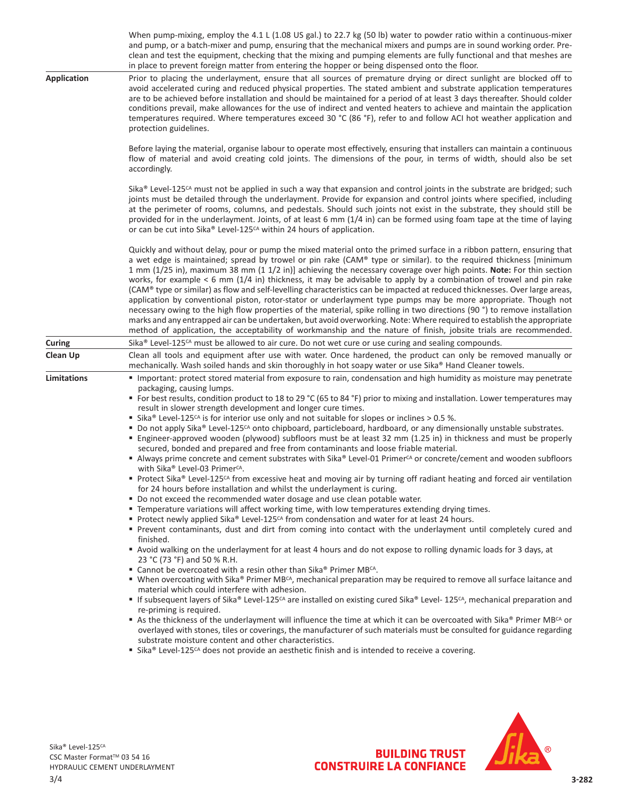|                           | When pump-mixing, employ the 4.1 L (1.08 US gal.) to 22.7 kg (50 lb) water to powder ratio within a continuous-mixer<br>and pump, or a batch-mixer and pump, ensuring that the mechanical mixers and pumps are in sound working order. Pre-<br>clean and test the equipment, checking that the mixing and pumping elements are fully functional and that meshes are<br>in place to prevent foreign matter from entering the hopper or being dispensed onto the floor.                                                                                                                                                                                                                                                                                                                                                                                                                                                                                                                                                                                                                                                                                                                                                                                                                                                                                                                                                                                                                                                                                                                                                                                                                                                                                                                                                                                                                                                                                                                                                                                                                                                                                                                                                                                                                                                                                                                                                                                                                                                                                   |  |  |  |  |
|---------------------------|---------------------------------------------------------------------------------------------------------------------------------------------------------------------------------------------------------------------------------------------------------------------------------------------------------------------------------------------------------------------------------------------------------------------------------------------------------------------------------------------------------------------------------------------------------------------------------------------------------------------------------------------------------------------------------------------------------------------------------------------------------------------------------------------------------------------------------------------------------------------------------------------------------------------------------------------------------------------------------------------------------------------------------------------------------------------------------------------------------------------------------------------------------------------------------------------------------------------------------------------------------------------------------------------------------------------------------------------------------------------------------------------------------------------------------------------------------------------------------------------------------------------------------------------------------------------------------------------------------------------------------------------------------------------------------------------------------------------------------------------------------------------------------------------------------------------------------------------------------------------------------------------------------------------------------------------------------------------------------------------------------------------------------------------------------------------------------------------------------------------------------------------------------------------------------------------------------------------------------------------------------------------------------------------------------------------------------------------------------------------------------------------------------------------------------------------------------------------------------------------------------------------------------------------------------|--|--|--|--|
| <b>Application</b>        | Prior to placing the underlayment, ensure that all sources of premature drying or direct sunlight are blocked off to<br>avoid accelerated curing and reduced physical properties. The stated ambient and substrate application temperatures<br>are to be achieved before installation and should be maintained for a period of at least 3 days thereafter. Should colder<br>conditions prevail, make allowances for the use of indirect and vented heaters to achieve and maintain the application<br>temperatures required. Where temperatures exceed 30 °C (86 °F), refer to and follow ACI hot weather application and<br>protection guidelines.                                                                                                                                                                                                                                                                                                                                                                                                                                                                                                                                                                                                                                                                                                                                                                                                                                                                                                                                                                                                                                                                                                                                                                                                                                                                                                                                                                                                                                                                                                                                                                                                                                                                                                                                                                                                                                                                                                     |  |  |  |  |
|                           | Before laying the material, organise labour to operate most effectively, ensuring that installers can maintain a continuous<br>flow of material and avoid creating cold joints. The dimensions of the pour, in terms of width, should also be set<br>accordingly.                                                                                                                                                                                                                                                                                                                                                                                                                                                                                                                                                                                                                                                                                                                                                                                                                                                                                                                                                                                                                                                                                                                                                                                                                                                                                                                                                                                                                                                                                                                                                                                                                                                                                                                                                                                                                                                                                                                                                                                                                                                                                                                                                                                                                                                                                       |  |  |  |  |
|                           | Sika® Level-125 <sup>CA</sup> must not be applied in such a way that expansion and control joints in the substrate are bridged; such<br>joints must be detailed through the underlayment. Provide for expansion and control joints where specified, including<br>at the perimeter of rooms, columns, and pedestals. Should such joints not exist in the substrate, they should still be<br>provided for in the underlayment. Joints, of at least 6 mm (1/4 in) can be formed using foam tape at the time of laying<br>or can be cut into Sika® Level-125 <sup>CA</sup> within 24 hours of application.                                                                                                                                                                                                                                                                                                                                                                                                                                                                                                                                                                                                                                                                                                                                                                                                                                                                                                                                                                                                                                                                                                                                                                                                                                                                                                                                                                                                                                                                                                                                                                                                                                                                                                                                                                                                                                                                                                                                                  |  |  |  |  |
|                           | Quickly and without delay, pour or pump the mixed material onto the primed surface in a ribbon pattern, ensuring that<br>a wet edge is maintained; spread by trowel or pin rake (CAM® type or similar). to the required thickness [minimum<br>1 mm (1/25 in), maximum 38 mm (1 1/2 in)] achieving the necessary coverage over high points. Note: For thin section<br>works, for example $< 6$ mm (1/4 in) thickness, it may be advisable to apply by a combination of trowel and pin rake<br>(CAM® type or similar) as flow and self-levelling characteristics can be impacted at reduced thicknesses. Over large areas,<br>application by conventional piston, rotor-stator or underlayment type pumps may be more appropriate. Though not<br>necessary owing to the high flow properties of the material, spike rolling in two directions (90 °) to remove installation<br>marks and any entrapped air can be undertaken, but avoid overworking. Note: Where required to establish the appropriate<br>method of application, the acceptability of workmanship and the nature of finish, jobsite trials are recommended.                                                                                                                                                                                                                                                                                                                                                                                                                                                                                                                                                                                                                                                                                                                                                                                                                                                                                                                                                                                                                                                                                                                                                                                                                                                                                                                                                                                                                               |  |  |  |  |
| <b>Curing</b><br>Clean Up | Sika® Level-125 <sup>cA</sup> must be allowed to air cure. Do not wet cure or use curing and sealing compounds.<br>Clean all tools and equipment after use with water. Once hardened, the product can only be removed manually or                                                                                                                                                                                                                                                                                                                                                                                                                                                                                                                                                                                                                                                                                                                                                                                                                                                                                                                                                                                                                                                                                                                                                                                                                                                                                                                                                                                                                                                                                                                                                                                                                                                                                                                                                                                                                                                                                                                                                                                                                                                                                                                                                                                                                                                                                                                       |  |  |  |  |
|                           | mechanically. Wash soiled hands and skin thoroughly in hot soapy water or use Sika® Hand Cleaner towels.                                                                                                                                                                                                                                                                                                                                                                                                                                                                                                                                                                                                                                                                                                                                                                                                                                                                                                                                                                                                                                                                                                                                                                                                                                                                                                                                                                                                                                                                                                                                                                                                                                                                                                                                                                                                                                                                                                                                                                                                                                                                                                                                                                                                                                                                                                                                                                                                                                                |  |  |  |  |
| Limitations               | Important: protect stored material from exposure to rain, condensation and high humidity as moisture may penetrate<br>packaging, causing lumps.<br>■ For best results, condition product to 18 to 29 °C (65 to 84 °F) prior to mixing and installation. Lower temperatures may<br>result in slower strength development and longer cure times.<br>■ Sika® Level-125 <sup>cA</sup> is for interior use only and not suitable for slopes or inclines > 0.5 %.<br>Do not apply Sika® Level-125 <sup>cA</sup> onto chipboard, particleboard, hardboard, or any dimensionally unstable substrates.<br>Engineer-approved wooden (plywood) subfloors must be at least 32 mm (1.25 in) in thickness and must be properly<br>secured, bonded and prepared and free from contaminants and loose friable material.<br>Always prime concrete and cement substrates with Sika® Level-01 Primer <sup>CA</sup> or concrete/cement and wooden subfloors<br>with Sika® Level-03 Primer <sup>CA</sup> .<br>Protect Sika® Level-125 <sup>CA</sup> from excessive heat and moving air by turning off radiant heating and forced air ventilation<br>for 24 hours before installation and whilst the underlayment is curing.<br>" Do not exceed the recommended water dosage and use clean potable water.<br>" Temperature variations will affect working time, with low temperatures extending drying times.<br>■ Protect newly applied Sika® Level-125 <sup>cA</sup> from condensation and water for at least 24 hours.<br>" Prevent contaminants, dust and dirt from coming into contact with the underlayment until completely cured and<br>finished.<br>Avoid walking on the underlayment for at least 4 hours and do not expose to rolling dynamic loads for 3 days, at<br>23 °C (73 °F) and 50 % R.H.<br>■ Cannot be overcoated with a resin other than Sika® Primer MBCA.<br>■ When overcoating with Sika® Primer MB <sup>CA</sup> , mechanical preparation may be required to remove all surface laitance and<br>material which could interfere with adhesion.<br>If subsequent layers of Sika® Level-125 <sup>cA</sup> are installed on existing cured Sika® Level-125 <sup>cA</sup> , mechanical preparation and<br>re-priming is required.<br>As the thickness of the underlayment will influence the time at which it can be overcoated with Sika® Primer MB <sup>CA</sup> or<br>overlayed with stones, tiles or coverings, the manufacturer of such materials must be consulted for guidance regarding<br>substrate moisture content and other characteristics. |  |  |  |  |
|                           | ■ Sika® Level-125 <sup>cA</sup> does not provide an aesthetic finish and is intended to receive a covering.                                                                                                                                                                                                                                                                                                                                                                                                                                                                                                                                                                                                                                                                                                                                                                                                                                                                                                                                                                                                                                                                                                                                                                                                                                                                                                                                                                                                                                                                                                                                                                                                                                                                                                                                                                                                                                                                                                                                                                                                                                                                                                                                                                                                                                                                                                                                                                                                                                             |  |  |  |  |